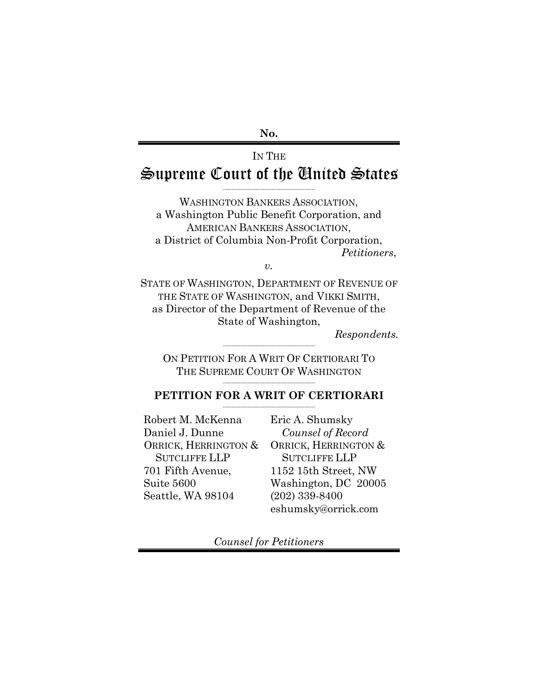**No.**

# IN THE Supreme Court of the United States

\_\_\_\_\_\_\_\_\_\_\_\_\_\_\_\_\_\_\_\_\_\_\_\_\_\_\_\_\_\_\_\_\_\_\_

WASHINGTON BANKERS ASSOCIATION, a Washington Public Benefit Corporation, and AMERICAN BANKERS ASSOCIATION, a District of Columbia Non-Profit Corporation, *Petitioners*,

*v.*

STATE OF WASHINGTON, DEPARTMENT OF REVENUE OF THE STATE OF WASHINGTON, and VIKKI SMITH, as Director of the Department of Revenue of the State of Washington,

*Respondents.* 

ON PETITION FOR A WRIT OF CERTIORARI TO THE SUPREME COURT OF WASHINGTON \_\_\_\_\_\_\_\_\_\_\_\_\_\_\_\_\_\_\_\_\_\_\_\_\_\_\_\_\_\_\_\_\_\_\_

\_\_\_\_\_\_\_\_\_\_\_\_\_\_\_\_\_\_\_\_\_\_\_\_\_\_\_\_\_\_\_\_\_\_\_

#### **PETITION FOR A WRIT OF CERTIORARI** \_\_\_\_\_\_\_\_\_\_\_\_\_\_\_\_\_\_\_\_\_\_\_\_\_\_\_\_\_\_\_\_\_\_\_

Robert M. McKenna Daniel J. Dunne ORRICK, HERRINGTON & SUTCLIFFE LLP 701 Fifth Avenue, Suite 5600 Seattle, WA 98104

Eric A. Shumsky *Counsel of Record* ORRICK, HERRINGTON & SUTCLIFFE LLP 1152 15th Street, NW Washington, DC 20005 (202) 339-8400 eshumsky@orrick.com

*Counsel for Petitioners*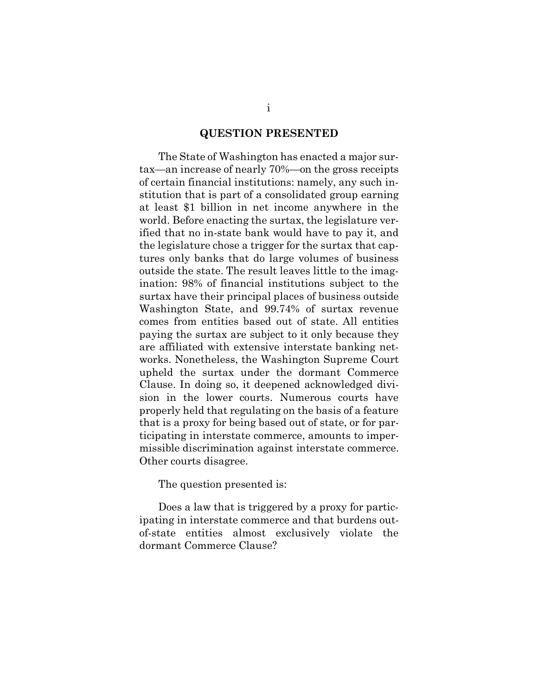#### **QUESTION PRESENTED**

<span id="page-1-0"></span>The State of Washington has enacted a major surtax—an increase of nearly 70%—on the gross receipts of certain financial institutions: namely, any such institution that is part of a consolidated group earning at least \$1 billion in net income anywhere in the world. Before enacting the surtax, the legislature verified that no in-state bank would have to pay it, and the legislature chose a trigger for the surtax that captures only banks that do large volumes of business outside the state. The result leaves little to the imagination: 98% of financial institutions subject to the surtax have their principal places of business outside Washington State, and 99.74% of surtax revenue comes from entities based out of state. All entities paying the surtax are subject to it only because they are affiliated with extensive interstate banking networks. Nonetheless, the Washington Supreme Court upheld the surtax under the dormant Commerce Clause. In doing so, it deepened acknowledged division in the lower courts. Numerous courts have properly held that regulating on the basis of a feature that is a proxy for being based out of state, or for participating in interstate commerce, amounts to impermissible discrimination against interstate commerce. Other courts disagree.

The question presented is:

Does a law that is triggered by a proxy for participating in interstate commerce and that burdens outof-state entities almost exclusively violate the dormant Commerce Clause?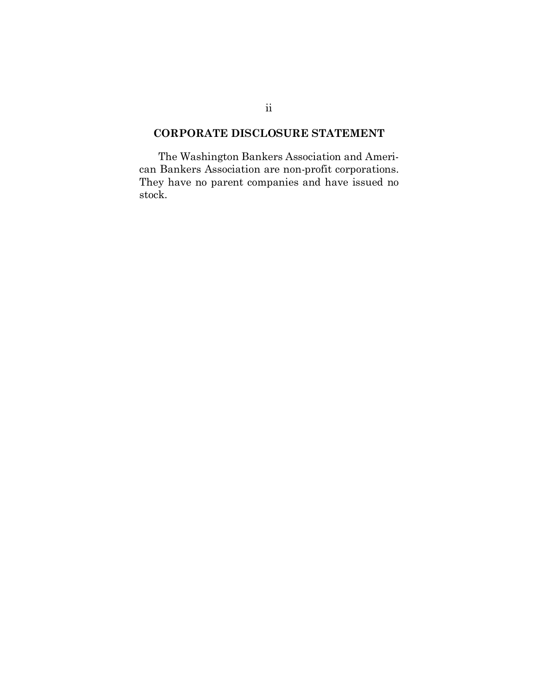## <span id="page-2-0"></span>**CORPORATE DISCLOSURE STATEMENT**

The Washington Bankers Association and American Bankers Association are non-profit corporations. They have no parent companies and have issued no stock.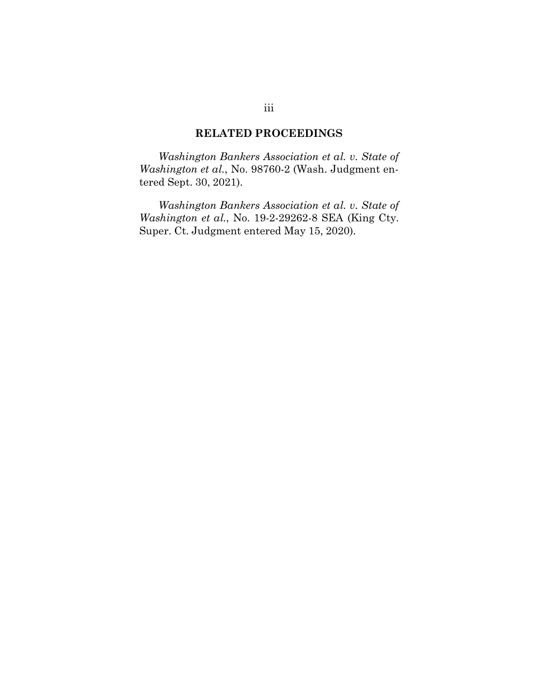## **RELATED PROCEEDINGS**

<span id="page-3-0"></span>*Washington Bankers Association et al. v. State of Washington et al.*, No. 98760-2 (Wash. Judgment entered Sept. 30, 2021).

*Washington Bankers Association et al. v. State of Washington et al.*, No. 19-2-29262-8 SEA (King Cty. Super. Ct. Judgment entered May 15, 2020).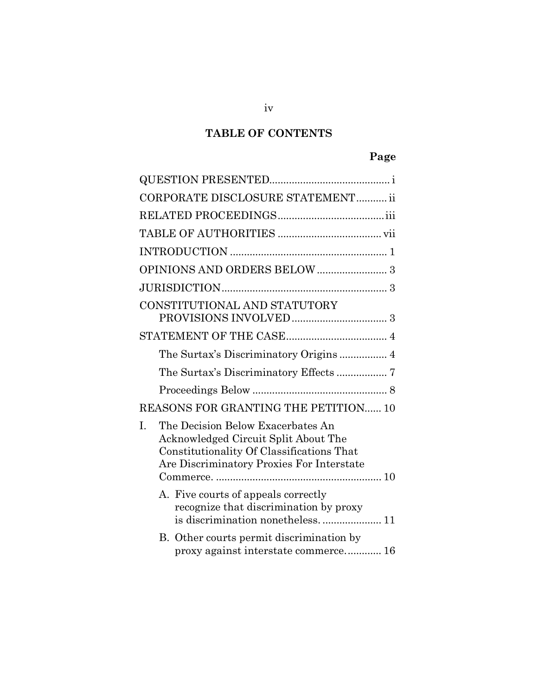# **TABLE OF CONTENTS**

# **Page**

|    | CORPORATE DISCLOSURE STATEMENT ii                                                                                                                                   |  |
|----|---------------------------------------------------------------------------------------------------------------------------------------------------------------------|--|
|    |                                                                                                                                                                     |  |
|    |                                                                                                                                                                     |  |
|    |                                                                                                                                                                     |  |
|    |                                                                                                                                                                     |  |
|    |                                                                                                                                                                     |  |
|    | CONSTITUTIONAL AND STATUTORY                                                                                                                                        |  |
|    |                                                                                                                                                                     |  |
|    |                                                                                                                                                                     |  |
|    | The Surtax's Discriminatory Effects  7                                                                                                                              |  |
|    |                                                                                                                                                                     |  |
|    | REASONS FOR GRANTING THE PETITION 10                                                                                                                                |  |
| I. | The Decision Below Exacerbates An<br>Acknowledged Circuit Split About The<br>Constitutionality Of Classifications That<br>Are Discriminatory Proxies For Interstate |  |
|    | A. Five courts of appeals correctly<br>recognize that discrimination by proxy<br>is discrimination nonetheless 11                                                   |  |
|    | B. Other courts permit discrimination by<br>proxy against interstate commerce 16                                                                                    |  |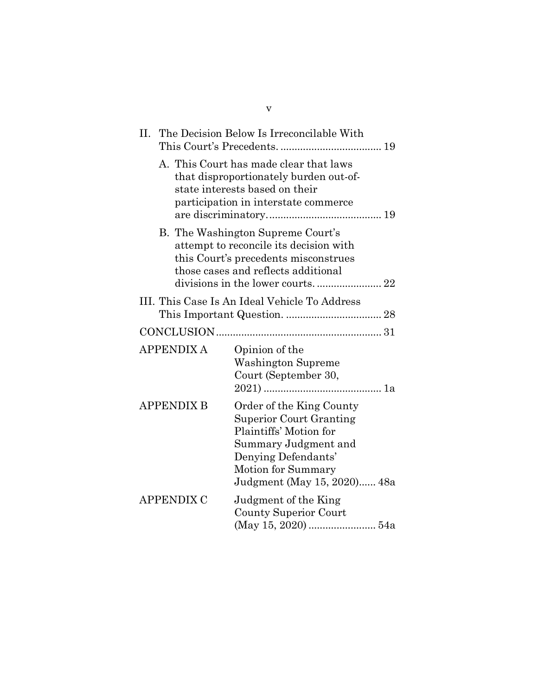| II.                                           |                                | The Decision Below Is Irreconcilable With                                                                                                                                                |  |  |
|-----------------------------------------------|--------------------------------|------------------------------------------------------------------------------------------------------------------------------------------------------------------------------------------|--|--|
|                                               | state interests based on their | A. This Court has made clear that laws<br>that disproportionately burden out-of-<br>participation in interstate commerce                                                                 |  |  |
|                                               |                                | B. The Washington Supreme Court's<br>attempt to reconcile its decision with<br>this Court's precedents misconstrues<br>those cases and reflects additional                               |  |  |
| III. This Case Is An Ideal Vehicle To Address |                                |                                                                                                                                                                                          |  |  |
|                                               |                                |                                                                                                                                                                                          |  |  |
| <b>APPENDIX A</b>                             |                                | Opinion of the<br><b>Washington Supreme</b><br>Court (September 30,                                                                                                                      |  |  |
| <b>APPENDIX B</b>                             |                                | Order of the King County<br><b>Superior Court Granting</b><br>Plaintiffs' Motion for<br>Summary Judgment and<br>Denying Defendants'<br>Motion for Summary<br>Judgment (May 15, 2020) 48a |  |  |
| APPENDIX C                                    |                                | Judgment of the King<br><b>County Superior Court</b>                                                                                                                                     |  |  |

v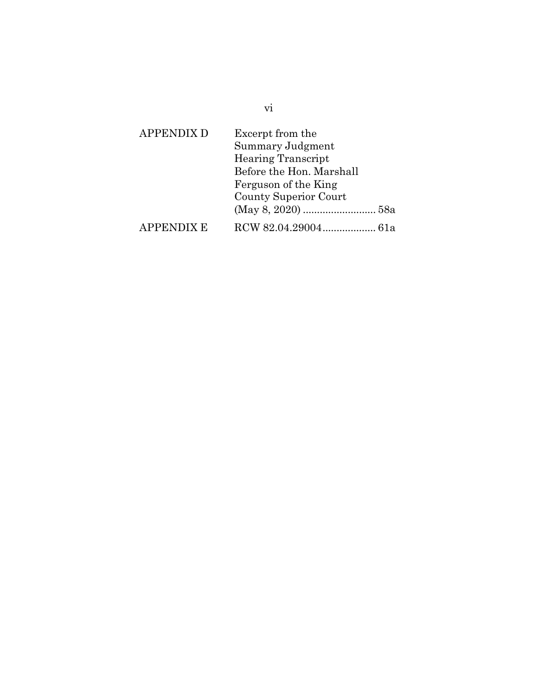| <b>APPENDIX D</b> | Excerpt from the             |  |
|-------------------|------------------------------|--|
|                   | Summary Judgment             |  |
|                   | <b>Hearing Transcript</b>    |  |
|                   | Before the Hon. Marshall     |  |
|                   | Ferguson of the King         |  |
|                   | <b>County Superior Court</b> |  |
|                   |                              |  |
| APPENDIX E        |                              |  |

vi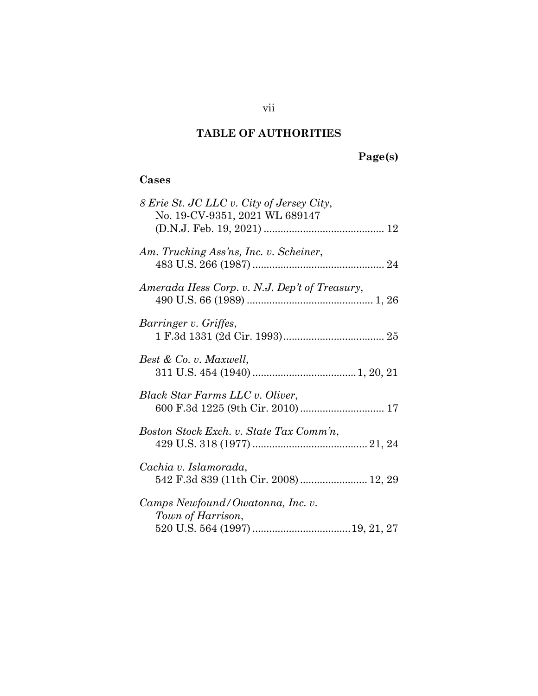## **TABLE OF AUTHORITIES**

# **Page(s)**

## <span id="page-7-0"></span>**Cases**

| 8 Erie St. JC LLC v. City of Jersey City,<br>No. 19-CV-9351, 2021 WL 689147 |
|-----------------------------------------------------------------------------|
| Am. Trucking Ass'ns, Inc. v. Scheiner,                                      |
| Amerada Hess Corp. v. N.J. Dep't of Treasury,                               |
| Barringer v. Griffes,                                                       |
| Best & Co. v. Maxwell,                                                      |
| Black Star Farms LLC v. Oliver,                                             |
| Boston Stock Exch. v. State Tax Comm'n,                                     |
| Cachia v. Islamorada,<br>542 F.3d 839 (11th Cir. 2008) 12, 29               |
| Camps Newfound/Owatonna, Inc. v.<br>Town of Harrison,                       |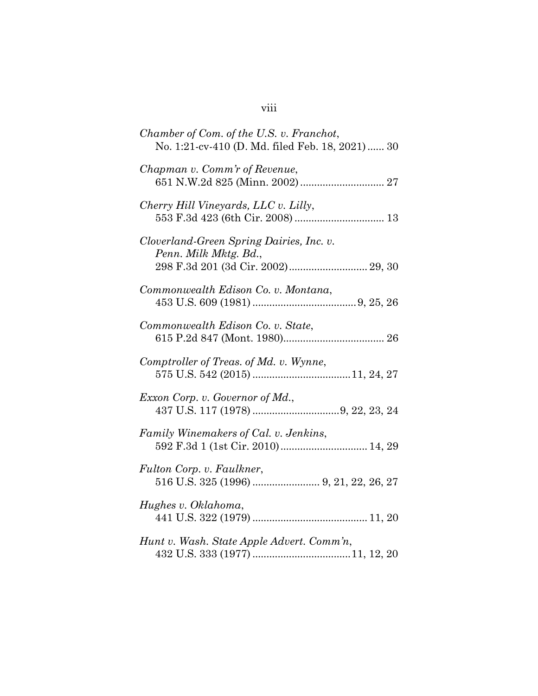| Chamber of Com. of the U.S. v. Franchot,<br>No. 1:21-cv-410 (D. Md. filed Feb. 18, 2021)  30            |
|---------------------------------------------------------------------------------------------------------|
| Chapman v. Comm'r of Revenue,                                                                           |
| Cherry Hill Vineyards, LLC v. Lilly,                                                                    |
| Cloverland-Green Spring Dairies, Inc. v.<br>Penn. Milk Mktg. Bd.,<br>298 F.3d 201 (3d Cir. 2002) 29, 30 |
| Commonwealth Edison Co. v. Montana,                                                                     |
| Commonwealth Edison Co. v. State,                                                                       |
| Comptroller of Treas. of Md. v. Wynne,                                                                  |
| Exxon Corp. v. Governor of Md.,                                                                         |
| Family Winemakers of Cal. v. Jenkins,<br>592 F.3d 1 (1st Cir. 2010) 14, 29                              |
| Fulton Corp. v. Faulkner,                                                                               |
| Hughes v. Oklahoma,                                                                                     |
| Hunt v. Wash. State Apple Advert. Comm'n,                                                               |

## viii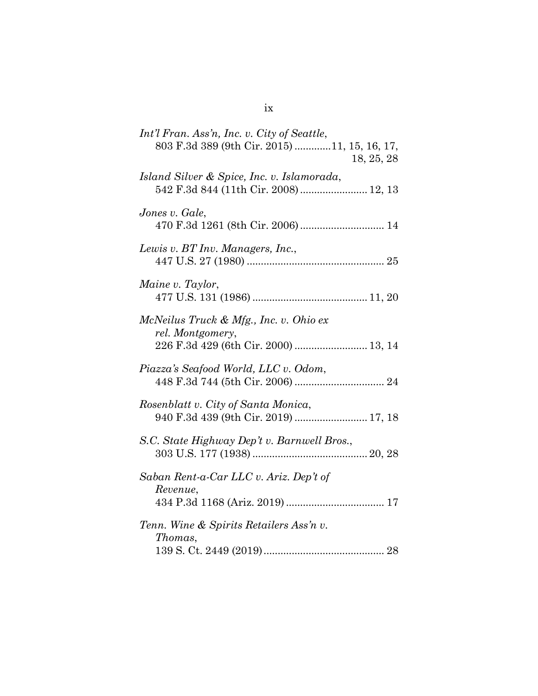| Int'l Fran. Ass'n, Inc. v. City of Seattle,                                                        |
|----------------------------------------------------------------------------------------------------|
| 803 F.3d 389 (9th Cir. 2015) 11, 15, 16, 17,<br>18, 25, 28                                         |
| Island Silver & Spice, Inc. v. Islamorada,<br>542 F.3d 844 (11th Cir. 2008)  12, 13                |
| Jones v. Gale,                                                                                     |
| Lewis v. BT Inv. Managers, Inc.,                                                                   |
| Maine v. Taylor,                                                                                   |
| McNeilus Truck & Mfg., Inc. v. Ohio ex<br>rel. Montgomery,<br>226 F.3d 429 (6th Cir. 2000)  13, 14 |
| Piazza's Seafood World, LLC v. Odom,                                                               |
| Rosenblatt v. City of Santa Monica,<br>940 F.3d 439 (9th Cir. 2019)  17, 18                        |
| S.C. State Highway Dep't v. Barnwell Bros.,                                                        |
| Saban Rent-a-Car LLC v. Ariz. Dep't of<br>Revenue,                                                 |
| Tenn. Wine & Spirits Retailers Ass'n v.<br>Thomas,                                                 |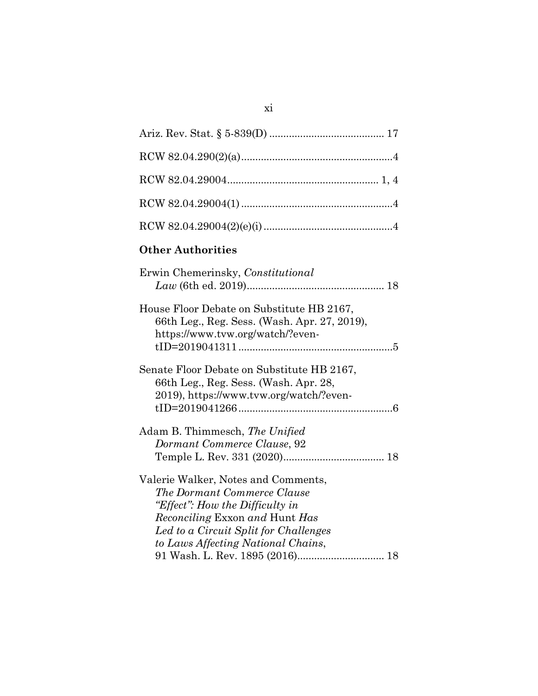| <b>Other Authorities</b>                                                                                                                                                                                               |
|------------------------------------------------------------------------------------------------------------------------------------------------------------------------------------------------------------------------|
| Erwin Chemerinsky, Constitutional                                                                                                                                                                                      |
| House Floor Debate on Substitute HB 2167,<br>66th Leg., Reg. Sess. (Wash. Apr. 27, 2019),<br>https://www.tvw.org/watch/?even-                                                                                          |
| Senate Floor Debate on Substitute HB 2167,<br>66th Leg., Reg. Sess. (Wash. Apr. 28,<br>2019), https://www.tvw.org/watch/?even-                                                                                         |
| Adam B. Thimmesch, The Unified<br>Dormant Commerce Clause, 92                                                                                                                                                          |
| Valerie Walker, Notes and Comments,<br>The Dormant Commerce Clause<br>"Effect": How the Difficulty in<br>Reconciling Exxon and Hunt Has<br>Led to a Circuit Split for Challenges<br>to Laws Affecting National Chains, |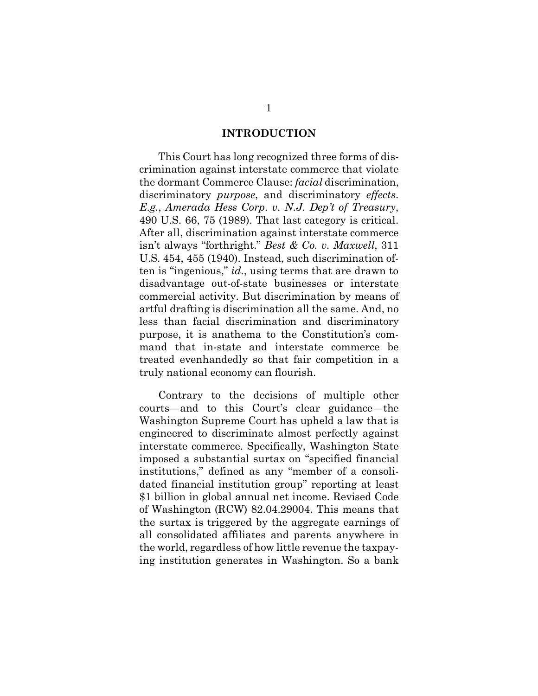#### <span id="page-12-2"></span>**INTRODUCTION**

<span id="page-12-1"></span><span id="page-12-0"></span>This Court has long recognized three forms of discrimination against interstate commerce that violate the dormant Commerce Clause: *facial* discrimination, discriminatory *purpose*, and discriminatory *effects*. *E.g.*, *Amerada Hess Corp. v. N.J. Dep't of Treasury*, 490 U.S. 66, 75 (1989). That last category is critical. After all, discrimination against interstate commerce isn't always "forthright." *Best & Co. v. Maxwell*, 311 U.S. 454, 455 (1940). Instead, such discrimination often is "ingenious," *id.*, using terms that are drawn to disadvantage out-of-state businesses or interstate commercial activity. But discrimination by means of artful drafting is discrimination all the same. And, no less than facial discrimination and discriminatory purpose, it is anathema to the Constitution's command that in-state and interstate commerce be treated evenhandedly so that fair competition in a truly national economy can flourish.

<span id="page-12-3"></span>Contrary to the decisions of multiple other courts—and to this Court's clear guidance—the Washington Supreme Court has upheld a law that is engineered to discriminate almost perfectly against interstate commerce. Specifically, Washington State imposed a substantial surtax on "specified financial institutions," defined as any "member of a consolidated financial institution group" reporting at least \$1 billion in global annual net income. Revised Code of Washington (RCW) 82.04.29004. This means that the surtax is triggered by the aggregate earnings of all consolidated affiliates and parents anywhere in the world, regardless of how little revenue the taxpaying institution generates in Washington. So a bank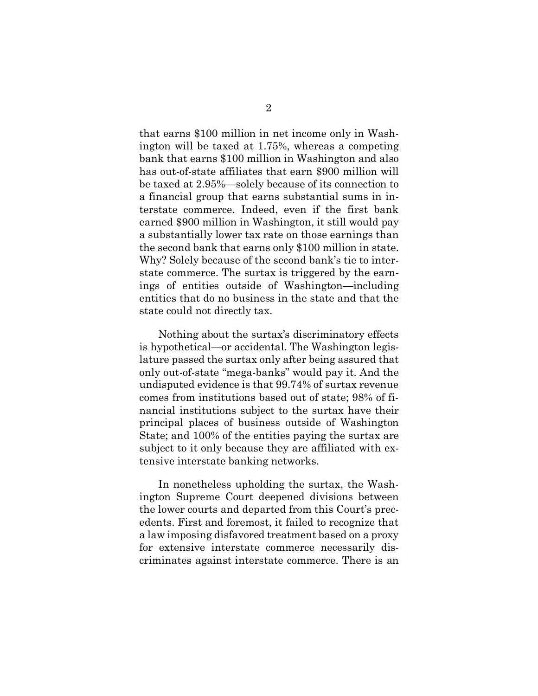that earns \$100 million in net income only in Washington will be taxed at 1.75%, whereas a competing bank that earns \$100 million in Washington and also has out-of-state affiliates that earn \$900 million will be taxed at 2.95%—solely because of its connection to a financial group that earns substantial sums in interstate commerce. Indeed, even if the first bank earned \$900 million in Washington, it still would pay a substantially lower tax rate on those earnings than the second bank that earns only \$100 million in state. Why? Solely because of the second bank's tie to interstate commerce. The surtax is triggered by the earnings of entities outside of Washington—including entities that do no business in the state and that the state could not directly tax.

Nothing about the surtax's discriminatory effects is hypothetical—or accidental. The Washington legislature passed the surtax only after being assured that only out-of-state "mega-banks" would pay it. And the undisputed evidence is that 99.74% of surtax revenue comes from institutions based out of state; 98% of financial institutions subject to the surtax have their principal places of business outside of Washington State; and 100% of the entities paying the surtax are subject to it only because they are affiliated with extensive interstate banking networks.

In nonetheless upholding the surtax, the Washington Supreme Court deepened divisions between the lower courts and departed from this Court's precedents. First and foremost, it failed to recognize that a law imposing disfavored treatment based on a proxy for extensive interstate commerce necessarily discriminates against interstate commerce. There is an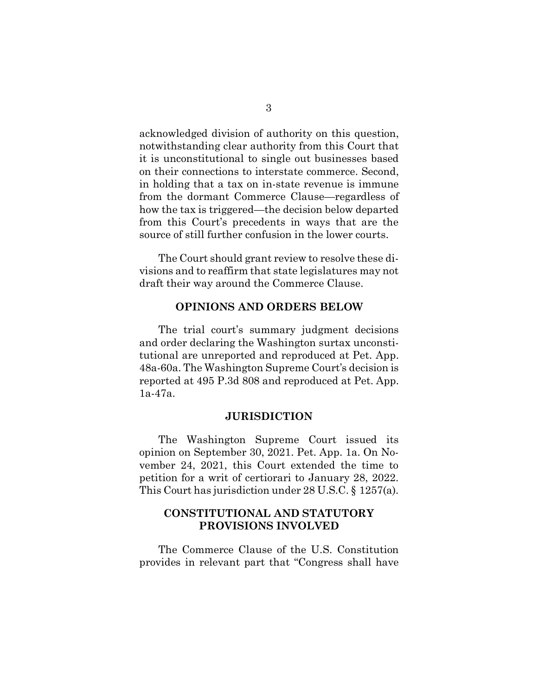acknowledged division of authority on this question, notwithstanding clear authority from this Court that it is unconstitutional to single out businesses based on their connections to interstate commerce. Second, in holding that a tax on in-state revenue is immune from the dormant Commerce Clause—regardless of how the tax is triggered—the decision below departed from this Court's precedents in ways that are the source of still further confusion in the lower courts.

The Court should grant review to resolve these divisions and to reaffirm that state legislatures may not draft their way around the Commerce Clause.

#### **OPINIONS AND ORDERS BELOW**

<span id="page-14-0"></span>The trial court's summary judgment decisions and order declaring the Washington surtax unconstitutional are unreported and reproduced at Pet. App. 48a-60a. The Washington Supreme Court's decision is reported at 495 P.3d 808 and reproduced at Pet. App. 1a-47a.

### <span id="page-14-3"></span>**JURISDICTION**

<span id="page-14-1"></span>The Washington Supreme Court issued its opinion on September 30, 2021. Pet. App. 1a. On November 24, 2021, this Court extended the time to petition for a writ of certiorari to January 28, 2022. This Court has jurisdiction under 28 U.S.C. § 1257(a).

## <span id="page-14-2"></span>**CONSTITUTIONAL AND STATUTORY PROVISIONS INVOLVED**

The Commerce Clause of the U.S. Constitution provides in relevant part that "Congress shall have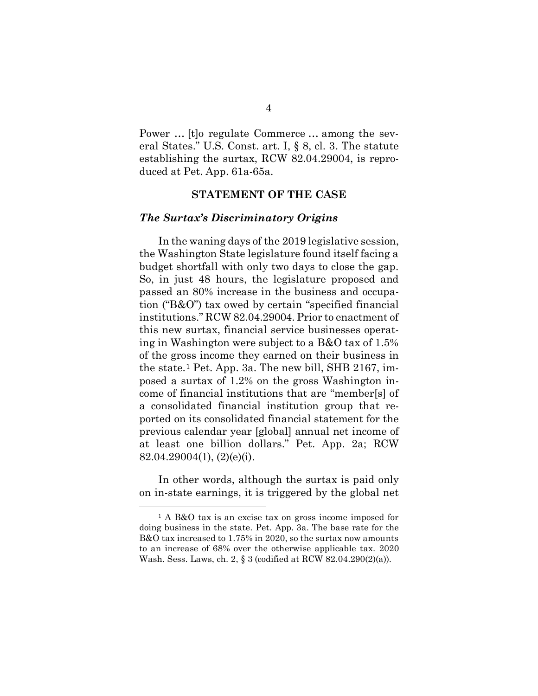Power … [t]o regulate Commerce … among the several States." U.S. Const. art. I, § 8, cl. 3. The statute establishing the surtax, RCW 82.04.29004, is reproduced at Pet. App. 61a-65a.

### <span id="page-15-3"></span>**STATEMENT OF THE CASE**

#### <span id="page-15-1"></span><span id="page-15-0"></span>*The Surtax's Discriminatory Origins*

In the waning days of the 2019 legislative session, the Washington State legislature found itself facing a budget shortfall with only two days to close the gap. So, in just 48 hours, the legislature proposed and passed an 80% increase in the business and occupation ("B&O") tax owed by certain "specified financial institutions." RCW 82.04.29004. Prior to enactment of this new surtax, financial service businesses operating in Washington were subject to a B&O tax of 1.5% of the gross income they earned on their business in the state.[1](#page-15-5) Pet. App. 3a. The new bill, SHB 2167, imposed a surtax of 1.2% on the gross Washington income of financial institutions that are "member[s] of a consolidated financial institution group that reported on its consolidated financial statement for the previous calendar year [global] annual net income of at least one billion dollars." Pet. App. 2a; RCW  $82.04.29004(1), (2)(e)(i).$ 

<span id="page-15-4"></span>In other words, although the surtax is paid only on in-state earnings, it is triggered by the global net

<span id="page-15-5"></span><span id="page-15-2"></span><sup>1</sup> A B&O tax is an excise tax on gross income imposed for doing business in the state. Pet. App. 3a. The base rate for the B&O tax increased to 1.75% in 2020, so the surtax now amounts to an increase of 68% over the otherwise applicable tax. 2020 Wash. Sess. Laws, ch. 2, § 3 (codified at RCW 82.04.290(2)(a)).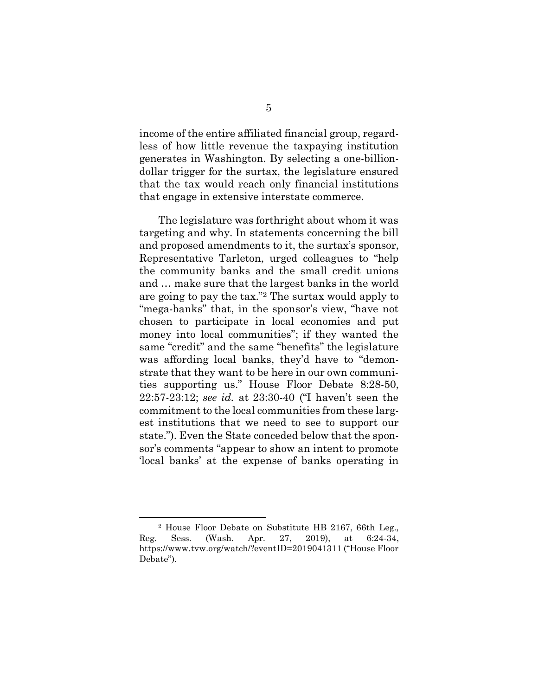income of the entire affiliated financial group, regardless of how little revenue the taxpaying institution generates in Washington. By selecting a one-billiondollar trigger for the surtax, the legislature ensured that the tax would reach only financial institutions that engage in extensive interstate commerce.

The legislature was forthright about whom it was targeting and why. In statements concerning the bill and proposed amendments to it, the surtax's sponsor, Representative Tarleton, urged colleagues to "help the community banks and the small credit unions and … make sure that the largest banks in the world are going to pay the tax.["2](#page-16-1) The surtax would apply to "mega-banks" that, in the sponsor's view, "have not chosen to participate in local economies and put money into local communities"; if they wanted the same "credit" and the same "benefits" the legislature was affording local banks, they'd have to "demonstrate that they want to be here in our own communities supporting us." House Floor Debate 8:28-50, 22:57-23:12; *see id.* at 23:30-40 ("I haven't seen the commitment to the local communities from these largest institutions that we need to see to support our state."). Even the State conceded below that the sponsor's comments "appear to show an intent to promote 'local banks' at the expense of banks operating in

<span id="page-16-1"></span><span id="page-16-0"></span><sup>2</sup> House Floor Debate on Substitute HB 2167, 66th Leg., Reg. Sess. (Wash. Apr. 27, 2019), at 6:24-34, https://www.tvw.org/watch/?eventID=2019041311 ("House Floor Debate").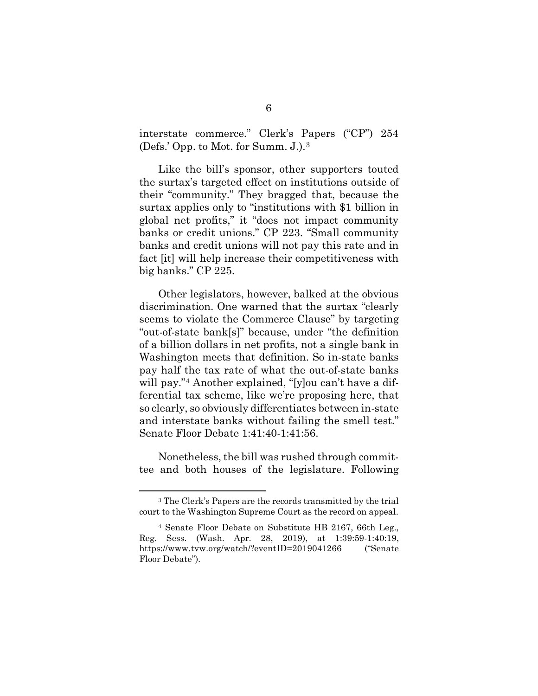interstate commerce." Clerk's Papers ("CP") 254 (Defs.' Opp. to Mot. for Summ. J.).[3](#page-17-1) 

Like the bill's sponsor, other supporters touted the surtax's targeted effect on institutions outside of their "community." They bragged that, because the surtax applies only to "institutions with \$1 billion in global net profits," it "does not impact community banks or credit unions." CP 223. "Small community banks and credit unions will not pay this rate and in fact [it] will help increase their competitiveness with big banks." CP 225.

Other legislators, however, balked at the obvious discrimination. One warned that the surtax "clearly seems to violate the Commerce Clause" by targeting "out-of-state bank[s]" because, under "the definition of a billion dollars in net profits, not a single bank in Washington meets that definition. So in-state banks pay half the tax rate of what the out-of-state banks will pay."<sup>4</sup> Another explained, "[y]ou can't have a differential tax scheme, like we're proposing here, that so clearly, so obviously differentiates between in-state and interstate banks without failing the smell test." Senate Floor Debate 1:41:40-1:41:56.

Nonetheless, the bill was rushed through committee and both houses of the legislature. Following

<span id="page-17-1"></span><sup>3</sup> The Clerk's Papers are the records transmitted by the trial court to the Washington Supreme Court as the record on appeal.

<span id="page-17-2"></span><span id="page-17-0"></span><sup>4</sup> Senate Floor Debate on Substitute HB 2167, 66th Leg., Reg. Sess. (Wash. Apr. 28, 2019), at 1:39:59-1:40:19, https://www.tvw.org/watch/?eventID=2019041266 ("Senate Floor Debate").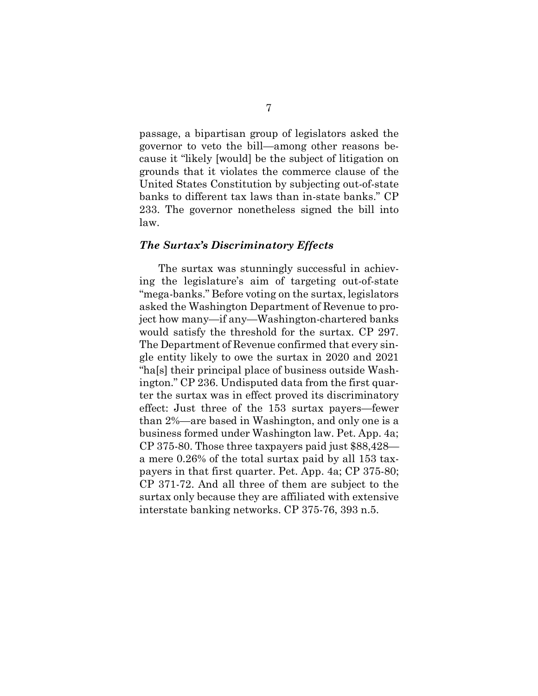passage, a bipartisan group of legislators asked the governor to veto the bill—among other reasons because it "likely [would] be the subject of litigation on grounds that it violates the commerce clause of the United States Constitution by subjecting out-of-state banks to different tax laws than in-state banks." CP 233. The governor nonetheless signed the bill into law.

#### <span id="page-18-0"></span>*The Surtax's Discriminatory Effects*

The surtax was stunningly successful in achieving the legislature's aim of targeting out-of-state "mega-banks." Before voting on the surtax, legislators asked the Washington Department of Revenue to project how many—if any—Washington-chartered banks would satisfy the threshold for the surtax. CP 297. The Department of Revenue confirmed that every single entity likely to owe the surtax in 2020 and 2021 "ha[s] their principal place of business outside Washington." CP 236. Undisputed data from the first quarter the surtax was in effect proved its discriminatory effect: Just three of the 153 surtax payers—fewer than 2%—are based in Washington, and only one is a business formed under Washington law. Pet. App. 4a; CP 375-80. Those three taxpayers paid just \$88,428 a mere 0.26% of the total surtax paid by all 153 taxpayers in that first quarter. Pet. App. 4a; CP 375-80; CP 371-72. And all three of them are subject to the surtax only because they are affiliated with extensive interstate banking networks. CP 375-76, 393 n.5.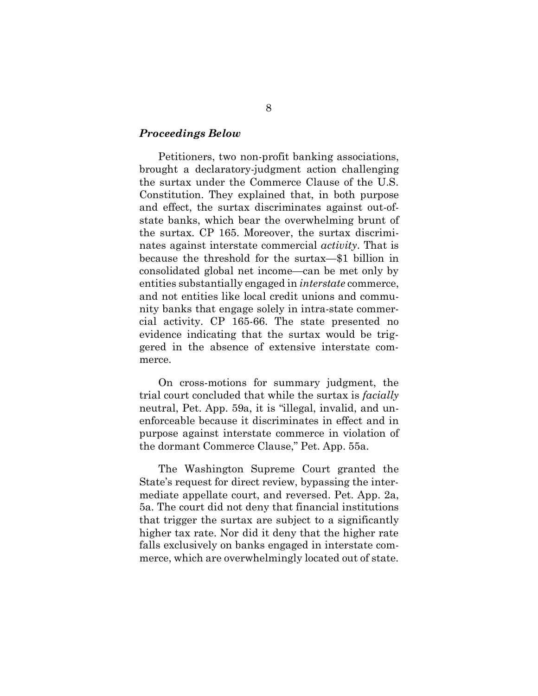#### <span id="page-19-0"></span>*Proceedings Below*

Petitioners, two non-profit banking associations, brought a declaratory-judgment action challenging the surtax under the Commerce Clause of the U.S. Constitution. They explained that, in both purpose and effect, the surtax discriminates against out-ofstate banks, which bear the overwhelming brunt of the surtax. CP 165. Moreover, the surtax discriminates against interstate commercial *activity*. That is because the threshold for the surtax—\$1 billion in consolidated global net income—can be met only by entities substantially engaged in *interstate* commerce, and not entities like local credit unions and community banks that engage solely in intra-state commercial activity. CP 165-66. The state presented no evidence indicating that the surtax would be triggered in the absence of extensive interstate commerce.

On cross-motions for summary judgment, the trial court concluded that while the surtax is *facially* neutral, Pet. App. 59a, it is "illegal, invalid, and unenforceable because it discriminates in effect and in purpose against interstate commerce in violation of the dormant Commerce Clause," Pet. App. 55a.

The Washington Supreme Court granted the State's request for direct review, bypassing the intermediate appellate court, and reversed. Pet. App. 2a, 5a. The court did not deny that financial institutions that trigger the surtax are subject to a significantly higher tax rate. Nor did it deny that the higher rate falls exclusively on banks engaged in interstate commerce, which are overwhelmingly located out of state.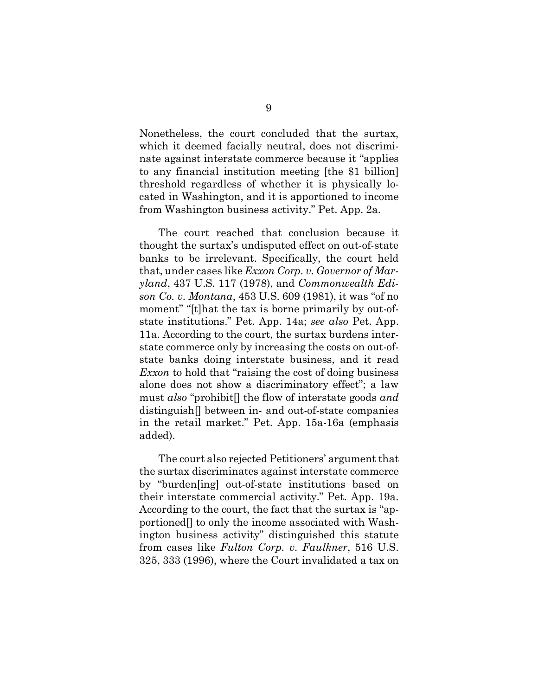Nonetheless, the court concluded that the surtax, which it deemed facially neutral, does not discriminate against interstate commerce because it "applies to any financial institution meeting [the \$1 billion] threshold regardless of whether it is physically located in Washington, and it is apportioned to income from Washington business activity." Pet. App. 2a.

<span id="page-20-1"></span><span id="page-20-0"></span>The court reached that conclusion because it thought the surtax's undisputed effect on out-of-state banks to be irrelevant. Specifically, the court held that, under cases like *Exxon Corp. v. Governor of Maryland*, 437 U.S. 117 (1978), and *Commonwealth Edison Co. v. Montana*, 453 U.S. 609 (1981), it was "of no moment" "[t]hat the tax is borne primarily by out-ofstate institutions." Pet. App. 14a; *see also* Pet. App. 11a. According to the court, the surtax burdens interstate commerce only by increasing the costs on out-ofstate banks doing interstate business, and it read *Exxon* to hold that "raising the cost of doing business alone does not show a discriminatory effect"; a law must *also* "prohibit[] the flow of interstate goods *and* distinguish[] between in- and out-of-state companies in the retail market." Pet. App. 15a-16a (emphasis added).

<span id="page-20-2"></span>The court also rejected Petitioners' argument that the surtax discriminates against interstate commerce by "burden[ing] out-of-state institutions based on their interstate commercial activity." Pet. App. 19a. According to the court, the fact that the surtax is "apportioned[] to only the income associated with Washington business activity" distinguished this statute from cases like *Fulton Corp. v. Faulkner*, 516 U.S. 325, 333 (1996), where the Court invalidated a tax on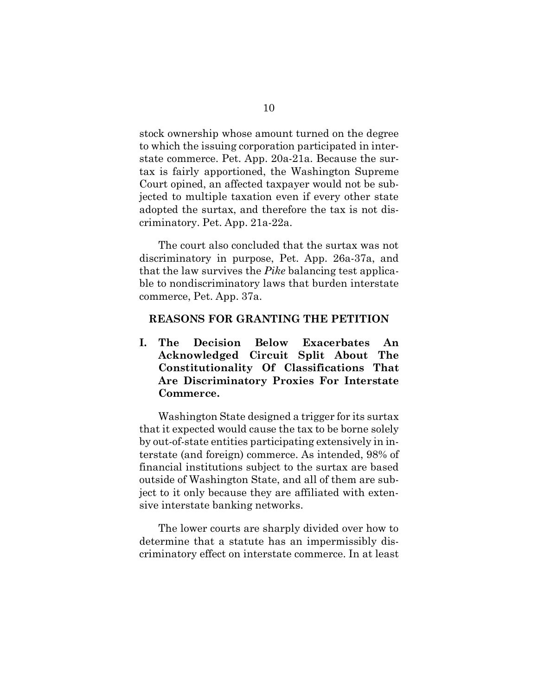stock ownership whose amount turned on the degree to which the issuing corporation participated in interstate commerce. Pet. App. 20a-21a. Because the surtax is fairly apportioned, the Washington Supreme Court opined, an affected taxpayer would not be subjected to multiple taxation even if every other state adopted the surtax, and therefore the tax is not discriminatory. Pet. App. 21a-22a.

The court also concluded that the surtax was not discriminatory in purpose, Pet. App. 26a-37a, and that the law survives the *Pike* balancing test applicable to nondiscriminatory laws that burden interstate commerce, Pet. App. 37a.

### <span id="page-21-0"></span>**REASONS FOR GRANTING THE PETITION**

<span id="page-21-1"></span>**I. The Decision Below Exacerbates An Acknowledged Circuit Split About The Constitutionality Of Classifications That Are Discriminatory Proxies For Interstate Commerce.** 

Washington State designed a trigger for its surtax that it expected would cause the tax to be borne solely by out-of-state entities participating extensively in interstate (and foreign) commerce. As intended, 98% of financial institutions subject to the surtax are based outside of Washington State, and all of them are subject to it only because they are affiliated with extensive interstate banking networks.

The lower courts are sharply divided over how to determine that a statute has an impermissibly discriminatory effect on interstate commerce. In at least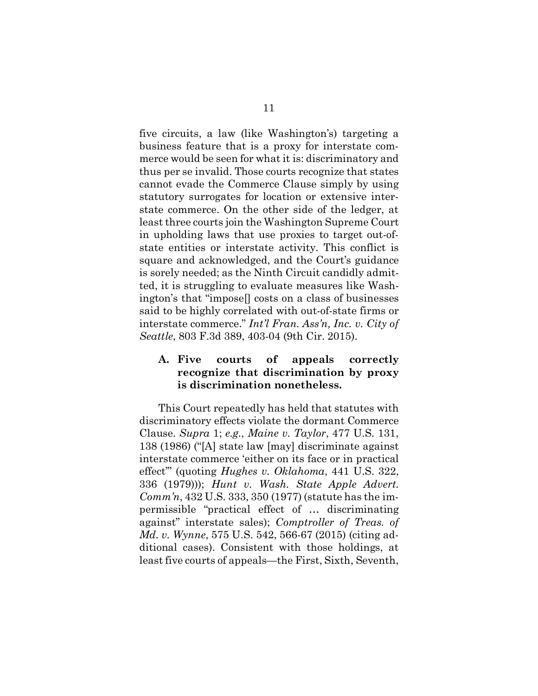five circuits, a law (like Washington's) targeting a business feature that is a proxy for interstate commerce would be seen for what it is: discriminatory and thus per se invalid. Those courts recognize that states cannot evade the Commerce Clause simply by using statutory surrogates for location or extensive interstate commerce. On the other side of the ledger, at least three courts join the Washington Supreme Court in upholding laws that use proxies to target out-ofstate entities or interstate activity. This conflict is square and acknowledged, and the Court's guidance is sorely needed; as the Ninth Circuit candidly admitted, it is struggling to evaluate measures like Washington's that "impose[] costs on a class of businesses said to be highly correlated with out-of-state firms or interstate commerce." *Int'l Fran. Ass'n, Inc. v. City of Seattle*, 803 F.3d 389, 403-04 (9th Cir. 2015).

### <span id="page-22-4"></span><span id="page-22-0"></span>**A. Five courts of appeals correctly recognize that discrimination by proxy is discrimination nonetheless.**

<span id="page-22-5"></span><span id="page-22-3"></span><span id="page-22-2"></span><span id="page-22-1"></span>This Court repeatedly has held that statutes with discriminatory effects violate the dormant Commerce Clause. *Supra* 1; *e.g.*, *Maine v. Taylor*, 477 U.S. 131, 138 (1986) ("[A] state law [may] discriminate against interstate commerce 'either on its face or in practical effect'" (quoting *Hughes v. Oklahoma*, 441 U.S. 322, 336 (1979))); *Hunt v. Wash. State Apple Advert. Comm'n*, 432 U.S. 333, 350 (1977) (statute has the impermissible "practical effect of … discriminating against" interstate sales); *Comptroller of Treas. of Md. v. Wynne*, 575 U.S. 542, 566-67 (2015) (citing additional cases). Consistent with those holdings, at least five courts of appeals—the First, Sixth, Seventh,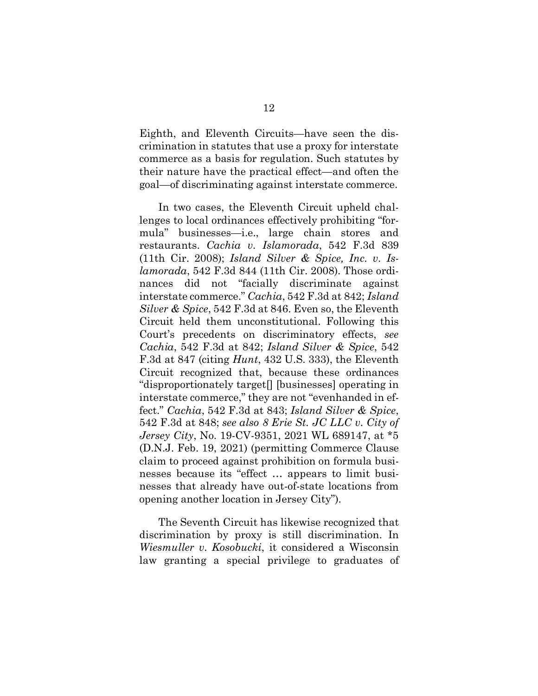Eighth, and Eleventh Circuits—have seen the discrimination in statutes that use a proxy for interstate commerce as a basis for regulation. Such statutes by their nature have the practical effect—and often the goal—of discriminating against interstate commerce.

<span id="page-23-3"></span><span id="page-23-2"></span><span id="page-23-1"></span>In two cases, the Eleventh Circuit upheld challenges to local ordinances effectively prohibiting "formula" businesses—i.e., large chain stores and restaurants. *Cachia v. Islamorada*, 542 F.3d 839 (11th Cir. 2008); *Island Silver & Spice, Inc. v. Islamorada*, 542 F.3d 844 (11th Cir. 2008). Those ordinances did not "facially discriminate against interstate commerce." *Cachia*, 542 F.3d at 842; *Island Silver & Spice*, 542 F.3d at 846. Even so, the Eleventh Circuit held them unconstitutional. Following this Court's precedents on discriminatory effects, *see Cachia*, 542 F.3d at 842; *Island Silver & Spice*, 542 F.3d at 847 (citing *Hunt*, 432 U.S. 333), the Eleventh Circuit recognized that, because these ordinances "disproportionately target[] [businesses] operating in interstate commerce," they are not "evenhanded in effect." *Cachia*, 542 F.3d at 843; *Island Silver & Spice*, 542 F.3d at 848; *see also 8 Erie St. JC LLC v. City of Jersey City*, No. 19-CV-9351, 2021 WL 689147, at \*5 (D.N.J. Feb. 19, 2021) (permitting Commerce Clause claim to proceed against prohibition on formula businesses because its "effect … appears to limit businesses that already have out-of-state locations from opening another location in Jersey City").

<span id="page-23-4"></span><span id="page-23-0"></span>The Seventh Circuit has likewise recognized that discrimination by proxy is still discrimination. In *Wiesmuller v. Kosobucki*, it considered a Wisconsin law granting a special privilege to graduates of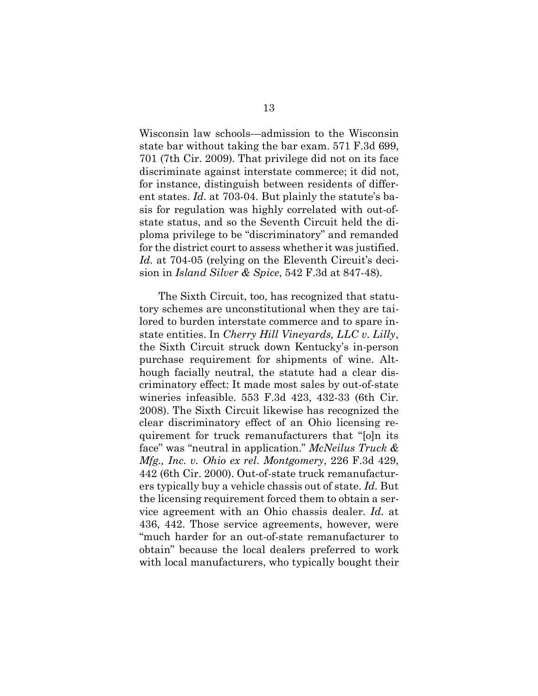<span id="page-24-3"></span>Wisconsin law schools—admission to the Wisconsin state bar without taking the bar exam. 571 F.3d 699, 701 (7th Cir. 2009). That privilege did not on its face discriminate against interstate commerce; it did not, for instance, distinguish between residents of different states. *Id.* at 703-04. But plainly the statute's basis for regulation was highly correlated with out-ofstate status, and so the Seventh Circuit held the diploma privilege to be "discriminatory" and remanded for the district court to assess whether it was justified. Id. at 704-05 (relying on the Eleventh Circuit's decision in *Island Silver & Spice*, 542 F.3d at 847-48).

<span id="page-24-2"></span><span id="page-24-1"></span><span id="page-24-0"></span>The Sixth Circuit, too, has recognized that statutory schemes are unconstitutional when they are tailored to burden interstate commerce and to spare instate entities. In *Cherry Hill Vineyards, LLC v. Lilly*, the Sixth Circuit struck down Kentucky's in-person purchase requirement for shipments of wine. Although facially neutral, the statute had a clear discriminatory effect: It made most sales by out-of-state wineries infeasible. 553 F.3d 423, 432-33 (6th Cir. 2008). The Sixth Circuit likewise has recognized the clear discriminatory effect of an Ohio licensing requirement for truck remanufacturers that "[o]n its face" was "neutral in application." *McNeilus Truck & Mfg., Inc. v. Ohio ex rel. Montgomery*, 226 F.3d 429, 442 (6th Cir. 2000). Out-of-state truck remanufacturers typically buy a vehicle chassis out of state. *Id.* But the licensing requirement forced them to obtain a service agreement with an Ohio chassis dealer. *Id.* at 436, 442. Those service agreements, however, were "much harder for an out-of-state remanufacturer to obtain" because the local dealers preferred to work with local manufacturers, who typically bought their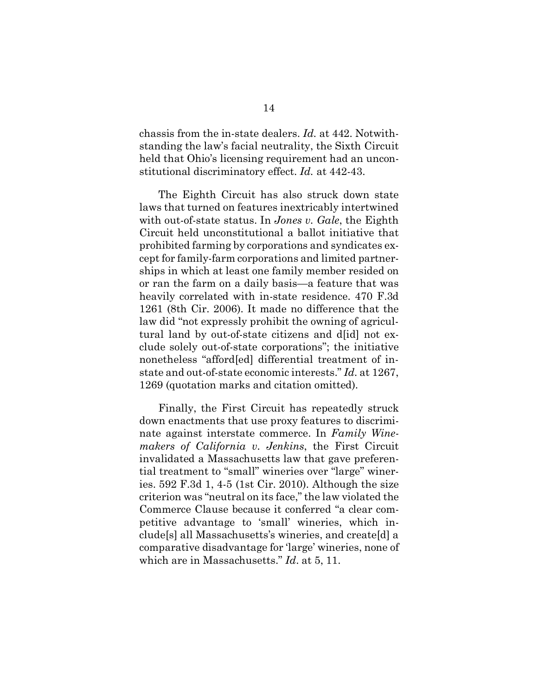<span id="page-25-2"></span>chassis from the in-state dealers. *Id.* at 442. Notwithstanding the law's facial neutrality, the Sixth Circuit held that Ohio's licensing requirement had an unconstitutional discriminatory effect. *Id.* at 442-43.

<span id="page-25-1"></span>The Eighth Circuit has also struck down state laws that turned on features inextricably intertwined with out-of-state status. In *Jones v. Gale*, the Eighth Circuit held unconstitutional a ballot initiative that prohibited farming by corporations and syndicates except for family-farm corporations and limited partnerships in which at least one family member resided on or ran the farm on a daily basis—a feature that was heavily correlated with in-state residence. 470 F.3d 1261 (8th Cir. 2006). It made no difference that the law did "not expressly prohibit the owning of agricultural land by out-of-state citizens and d[id] not exclude solely out-of-state corporations"; the initiative nonetheless "afford[ed] differential treatment of instate and out-of-state economic interests." *Id.* at 1267, 1269 (quotation marks and citation omitted).

<span id="page-25-0"></span>Finally, the First Circuit has repeatedly struck down enactments that use proxy features to discriminate against interstate commerce. In *Family Winemakers of California v. Jenkins*, the First Circuit invalidated a Massachusetts law that gave preferential treatment to "small" wineries over "large" wineries. 592 F.3d 1, 4-5 (1st Cir. 2010). Although the size criterion was "neutral on its face," the law violated the Commerce Clause because it conferred "a clear competitive advantage to 'small' wineries, which include[s] all Massachusetts's wineries, and create[d] a comparative disadvantage for 'large' wineries, none of which are in Massachusetts." *Id*. at 5, 11.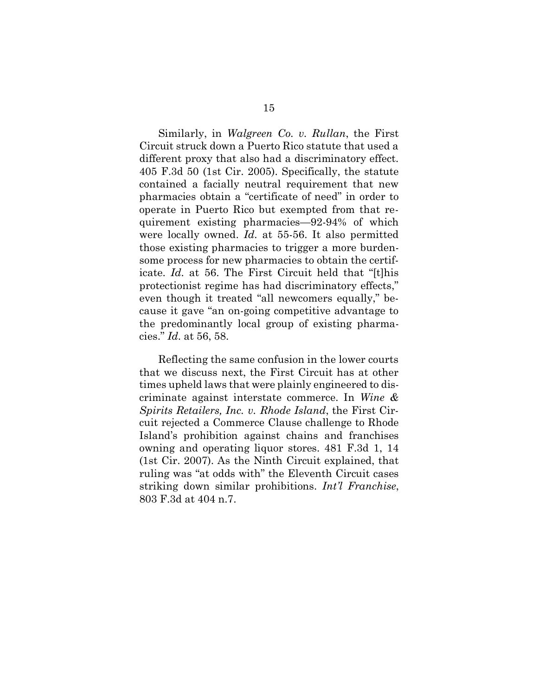<span id="page-26-1"></span>Similarly, in *Walgreen Co. v. Rullan*, the First Circuit struck down a Puerto Rico statute that used a different proxy that also had a discriminatory effect. 405 F.3d 50 (1st Cir. 2005). Specifically, the statute contained a facially neutral requirement that new pharmacies obtain a "certificate of need" in order to operate in Puerto Rico but exempted from that requirement existing pharmacies—92-94% of which were locally owned. *Id.* at 55-56. It also permitted those existing pharmacies to trigger a more burdensome process for new pharmacies to obtain the certificate. *Id.* at 56. The First Circuit held that "[t]his protectionist regime has had discriminatory effects," even though it treated "all newcomers equally," because it gave "an on-going competitive advantage to the predominantly local group of existing pharmacies." *Id.* at 56, 58.

<span id="page-26-2"></span><span id="page-26-0"></span>Reflecting the same confusion in the lower courts that we discuss next, the First Circuit has at other times upheld laws that were plainly engineered to discriminate against interstate commerce. In *Wine & Spirits Retailers, Inc. v. Rhode Island*, the First Circuit rejected a Commerce Clause challenge to Rhode Island's prohibition against chains and franchises owning and operating liquor stores. 481 F.3d 1, 14 (1st Cir. 2007). As the Ninth Circuit explained, that ruling was "at odds with" the Eleventh Circuit cases striking down similar prohibitions. *Int'l Franchise*, 803 F.3d at 404 n.7.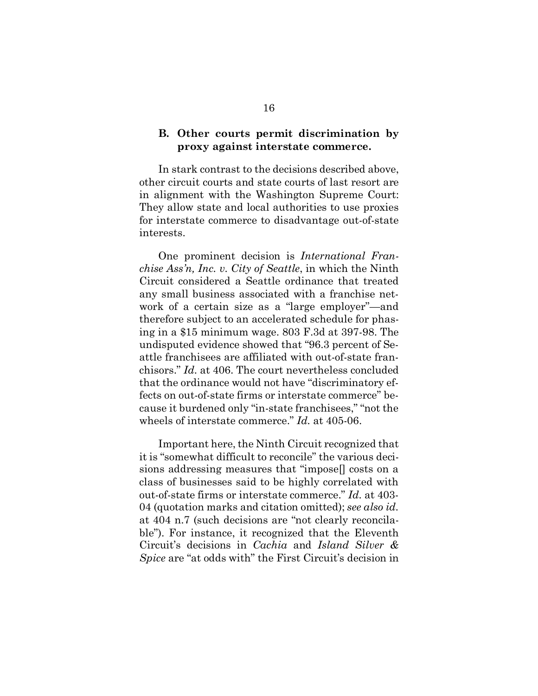### <span id="page-27-0"></span>**B. Other courts permit discrimination by proxy against interstate commerce.**

In stark contrast to the decisions described above, other circuit courts and state courts of last resort are in alignment with the Washington Supreme Court: They allow state and local authorities to use proxies for interstate commerce to disadvantage out-of-state interests.

<span id="page-27-1"></span>One prominent decision is *International Franchise Ass'n, Inc. v. City of Seattle*, in which the Ninth Circuit considered a Seattle ordinance that treated any small business associated with a franchise network of a certain size as a "large employer"—and therefore subject to an accelerated schedule for phasing in a \$15 minimum wage. 803 F.3d at 397-98. The undisputed evidence showed that "96.3 percent of Seattle franchisees are affiliated with out-of-state franchisors." *Id.* at 406. The court nevertheless concluded that the ordinance would not have "discriminatory effects on out-of-state firms or interstate commerce" because it burdened only "in-state franchisees," "not the wheels of interstate commerce." *Id.* at 405-06.

Important here, the Ninth Circuit recognized that it is "somewhat difficult to reconcile" the various decisions addressing measures that "impose[] costs on a class of businesses said to be highly correlated with out-of-state firms or interstate commerce." *Id.* at 403- 04 (quotation marks and citation omitted); *see also id.*  at 404 n.7 (such decisions are "not clearly reconcilable"). For instance, it recognized that the Eleventh Circuit's decisions in *Cachia* and *Island Silver & Spice* are "at odds with" the First Circuit's decision in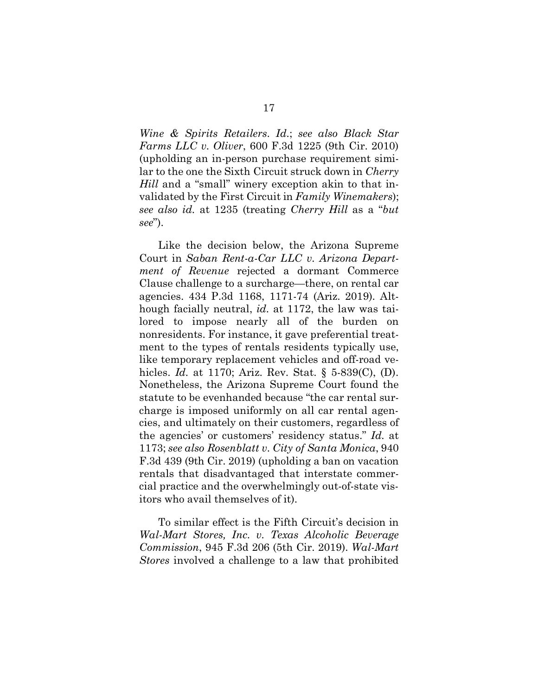<span id="page-28-0"></span>*Wine & Spirits Retailers*. *Id.*; *see also Black Star Farms LLC v. Oliver*, 600 F.3d 1225 (9th Cir. 2010) (upholding an in-person purchase requirement similar to the one the Sixth Circuit struck down in *Cherry Hill* and a "small" winery exception akin to that invalidated by the First Circuit in *Family Winemakers*); *see also id.* at 1235 (treating *Cherry Hill* as a "*but see*").

<span id="page-28-4"></span><span id="page-28-2"></span>Like the decision below, the Arizona Supreme Court in *Saban Rent-a-Car LLC v. Arizona Department of Revenue* rejected a dormant Commerce Clause challenge to a surcharge—there, on rental car agencies. 434 P.3d 1168, 1171-74 (Ariz. 2019). Although facially neutral, *id.* at 1172, the law was tailored to impose nearly all of the burden on nonresidents. For instance, it gave preferential treatment to the types of rentals residents typically use, like temporary replacement vehicles and off-road vehicles. *Id.* at 1170; Ariz. Rev. Stat. § 5-839(C), (D). Nonetheless, the Arizona Supreme Court found the statute to be evenhanded because "the car rental surcharge is imposed uniformly on all car rental agencies, and ultimately on their customers, regardless of the agencies' or customers' residency status." *Id.* at 1173; *see also Rosenblatt v. City of Santa Monica*, 940 F.3d 439 (9th Cir. 2019) (upholding a ban on vacation rentals that disadvantaged that interstate commercial practice and the overwhelmingly out-of-state visitors who avail themselves of it).

<span id="page-28-3"></span><span id="page-28-1"></span>To similar effect is the Fifth Circuit's decision in *Wal-Mart Stores, Inc. v. Texas Alcoholic Beverage Commission*, 945 F.3d 206 (5th Cir. 2019). *Wal-Mart Stores* involved a challenge to a law that prohibited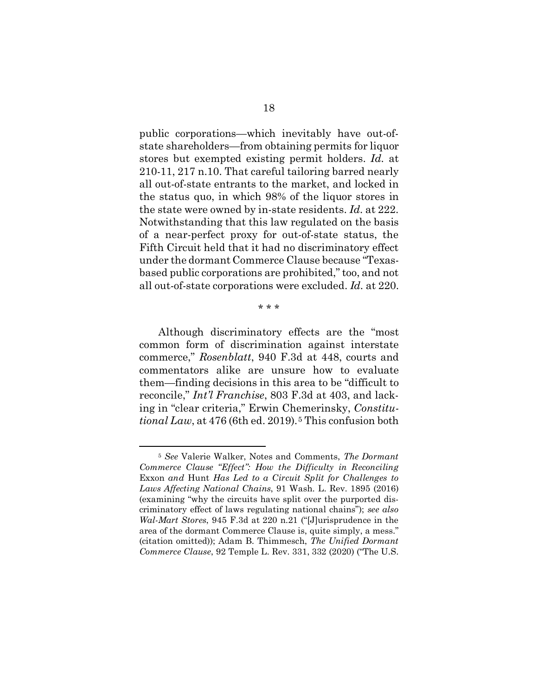public corporations—which inevitably have out-ofstate shareholders—from obtaining permits for liquor stores but exempted existing permit holders. *Id.* at 210-11, 217 n.10. That careful tailoring barred nearly all out-of-state entrants to the market, and locked in the status quo, in which 98% of the liquor stores in the state were owned by in-state residents. *Id.* at 222. Notwithstanding that this law regulated on the basis of a near-perfect proxy for out-of-state status, the Fifth Circuit held that it had no discriminatory effect under the dormant Commerce Clause because "Texasbased public corporations are prohibited," too, and not all out-of-state corporations were excluded. *Id.* at 220.

<span id="page-29-1"></span>Although discriminatory effects are the "most common form of discrimination against interstate commerce," *Rosenblatt*, 940 F.3d at 448, courts and commentators alike are unsure how to evaluate them—finding decisions in this area to be "difficult to reconcile," *Int'l Franchise*, 803 F.3d at 403, and lacking in "clear criteria," Erwin Chemerinsky, *Constitutional Law*, at 476 (6th ed. 2019).<sup>[5](#page-29-6)</sup> This confusion both

<span id="page-29-3"></span><span id="page-29-2"></span><span id="page-29-0"></span>\* \* \*

<span id="page-29-6"></span><span id="page-29-5"></span><span id="page-29-4"></span><sup>5</sup> *See* Valerie Walker, Notes and Comments, *The Dormant Commerce Clause "Effect": How the Difficulty in Reconciling*  Exxon *and* Hunt *Has Led to a Circuit Split for Challenges to Laws Affecting National Chains*, 91 Wash. L. Rev. 1895 (2016) (examining "why the circuits have split over the purported discriminatory effect of laws regulating national chains"); *see also Wal-Mart Stores*, 945 F.3d at 220 n.21 ("[J]urisprudence in the area of the dormant Commerce Clause is, quite simply, a mess." (citation omitted)); Adam B. Thimmesch, *The Unified Dormant Commerce Clause*, 92 Temple L. Rev. 331, 332 (2020) ("The U.S.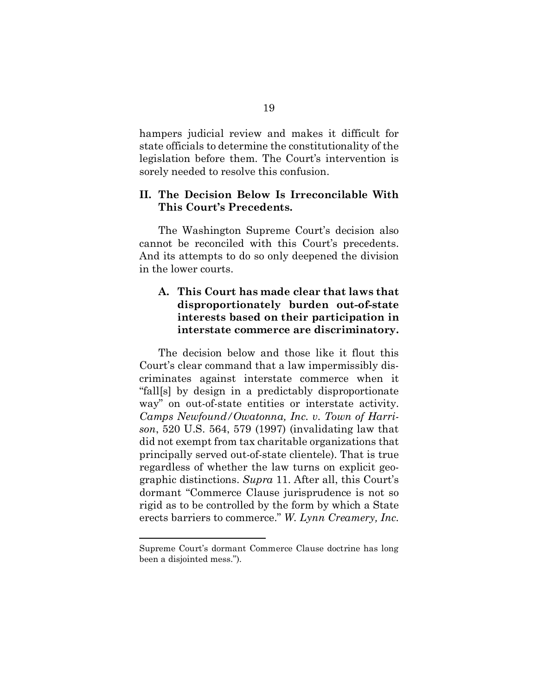hampers judicial review and makes it difficult for state officials to determine the constitutionality of the legislation before them. The Court's intervention is sorely needed to resolve this confusion.

## <span id="page-30-0"></span>**II. The Decision Below Is Irreconcilable With This Court's Precedents.**

The Washington Supreme Court's decision also cannot be reconciled with this Court's precedents. And its attempts to do so only deepened the division in the lower courts.

## <span id="page-30-1"></span>**A. This Court has made clear that laws that disproportionately burden out-of-state interests based on their participation in interstate commerce are discriminatory.**

<span id="page-30-2"></span>The decision below and those like it flout this Court's clear command that a law impermissibly discriminates against interstate commerce when it "fall[s] by design in a predictably disproportionate way" on out-of-state entities or interstate activity. *Camps Newfound/Owatonna, Inc. v. Town of Harrison*, 520 U.S. 564, 579 (1997) (invalidating law that did not exempt from tax charitable organizations that principally served out-of-state clientele). That is true regardless of whether the law turns on explicit geographic distinctions. *Supra* 11. After all, this Court's dormant "Commerce Clause jurisprudence is not so rigid as to be controlled by the form by which a State erects barriers to commerce." *W. Lynn Creamery, Inc.* 

<span id="page-30-3"></span>Supreme Court's dormant Commerce Clause doctrine has long been a disjointed mess.").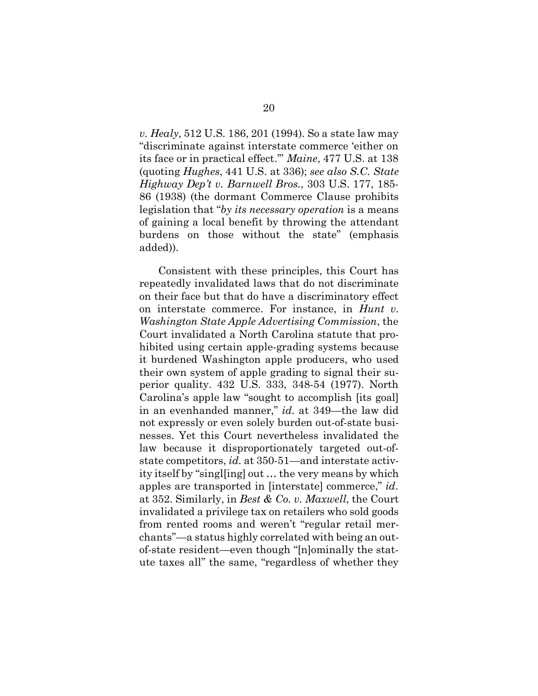<span id="page-31-4"></span><span id="page-31-3"></span><span id="page-31-1"></span>*v. Healy*, 512 U.S. 186, 201 (1994). So a state law may "discriminate against interstate commerce 'either on its face or in practical effect.'" *Maine*, 477 U.S. at 138 (quoting *Hughes*, 441 U.S. at 336); *see also S.C. State Highway Dep't v. Barnwell Bros.*, 303 U.S. 177, 185- 86 (1938) (the dormant Commerce Clause prohibits legislation that "*by its necessary operation* is a means of gaining a local benefit by throwing the attendant burdens on those without the state" (emphasis added)).

<span id="page-31-2"></span><span id="page-31-0"></span>Consistent with these principles, this Court has repeatedly invalidated laws that do not discriminate on their face but that do have a discriminatory effect on interstate commerce. For instance, in *Hunt v. Washington State Apple Advertising Commission*, the Court invalidated a North Carolina statute that prohibited using certain apple-grading systems because it burdened Washington apple producers, who used their own system of apple grading to signal their superior quality. 432 U.S. 333, 348-54 (1977). North Carolina's apple law "sought to accomplish [its goal] in an evenhanded manner," *id.* at 349—the law did not expressly or even solely burden out-of-state businesses. Yet this Court nevertheless invalidated the law because it disproportionately targeted out-ofstate competitors, *id.* at 350-51—and interstate activity itself by "singl[ing] out … the very means by which apples are transported in [interstate] commerce," *id.*  at 352. Similarly, in *Best & Co. v. Maxwell*, the Court invalidated a privilege tax on retailers who sold goods from rented rooms and weren't "regular retail merchants"—a status highly correlated with being an outof-state resident—even though "[n]ominally the statute taxes all" the same, "regardless of whether they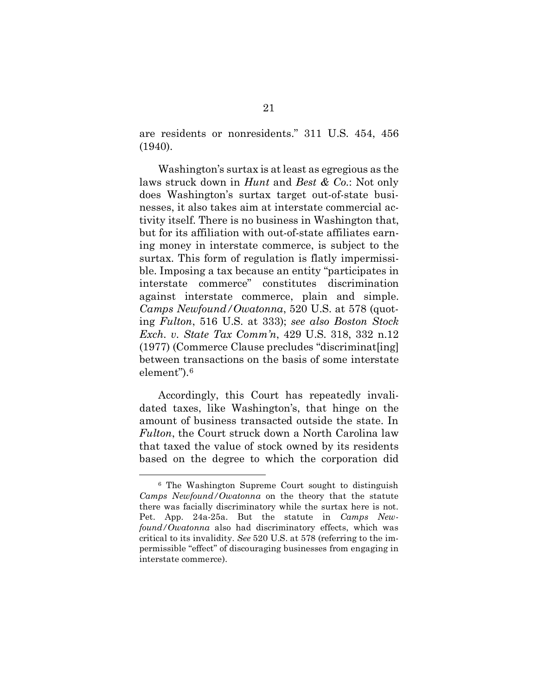<span id="page-32-0"></span>are residents or nonresidents." 311 U.S. 454, 456 (1940).

Washington's surtax is at least as egregious as the laws struck down in *Hunt* and *Best & Co.*: Not only does Washington's surtax target out-of-state businesses, it also takes aim at interstate commercial activity itself. There is no business in Washington that, but for its affiliation with out-of-state affiliates earning money in interstate commerce, is subject to the surtax. This form of regulation is flatly impermissible. Imposing a tax because an entity "participates in interstate commerce" constitutes discrimination against interstate commerce, plain and simple. *Camps Newfound/Owatonna*, 520 U.S. at 578 (quoting *Fulton*, 516 U.S. at 333); *see also Boston Stock Exch. v. State Tax Comm'n*, 429 U.S. 318, 332 n.12 (1977) (Commerce Clause precludes "discriminat[ing] between transactions on the basis of some interstate element").[6](#page-32-4)

<span id="page-32-3"></span><span id="page-32-2"></span><span id="page-32-1"></span>Accordingly, this Court has repeatedly invalidated taxes, like Washington's, that hinge on the amount of business transacted outside the state. In *Fulton*, the Court struck down a North Carolina law that taxed the value of stock owned by its residents based on the degree to which the corporation did

<span id="page-32-4"></span><sup>6</sup> The Washington Supreme Court sought to distinguish *Camps Newfound/Owatonna* on the theory that the statute there was facially discriminatory while the surtax here is not. Pet. App. 24a-25a. But the statute in *Camps Newfound/Owatonna* also had discriminatory effects, which was critical to its invalidity. *See* 520 U.S. at 578 (referring to the impermissible "effect" of discouraging businesses from engaging in interstate commerce).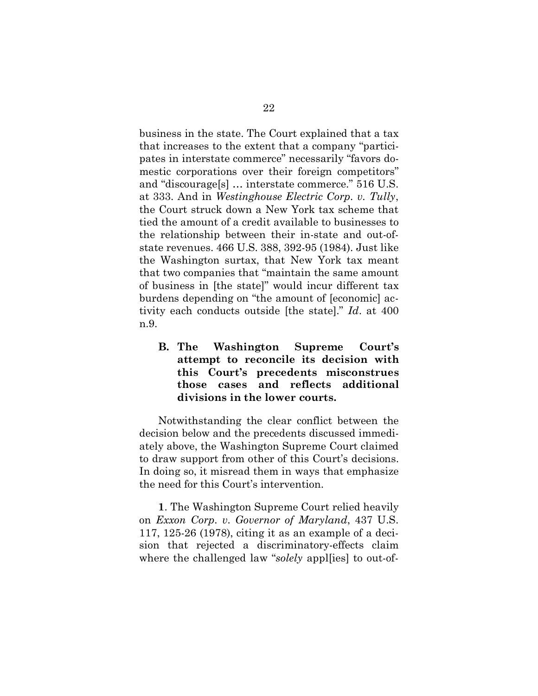<span id="page-33-3"></span><span id="page-33-2"></span>business in the state. The Court explained that a tax that increases to the extent that a company "participates in interstate commerce" necessarily "favors domestic corporations over their foreign competitors" and "discourage[s] … interstate commerce." 516 U.S. at 333. And in *Westinghouse Electric Corp. v. Tully*, the Court struck down a New York tax scheme that tied the amount of a credit available to businesses to the relationship between their in-state and out-ofstate revenues. 466 U.S. 388, 392-95 (1984). Just like the Washington surtax, that New York tax meant that two companies that "maintain the same amount of business in [the state]" would incur different tax burdens depending on "the amount of [economic] activity each conducts outside [the state]." *Id*. at 400 n.9.

<span id="page-33-0"></span>**B. The Washington Supreme Court's attempt to reconcile its decision with this Court's precedents misconstrues those cases and reflects additional divisions in the lower courts.**

Notwithstanding the clear conflict between the decision below and the precedents discussed immediately above, the Washington Supreme Court claimed to draw support from other of this Court's decisions. In doing so, it misread them in ways that emphasize the need for this Court's intervention.

<span id="page-33-1"></span>**1**. The Washington Supreme Court relied heavily on *Exxon Corp. v. Governor of Maryland*, 437 U.S. 117, 125-26 (1978), citing it as an example of a decision that rejected a discriminatory-effects claim where the challenged law "*solely* apples to out-of-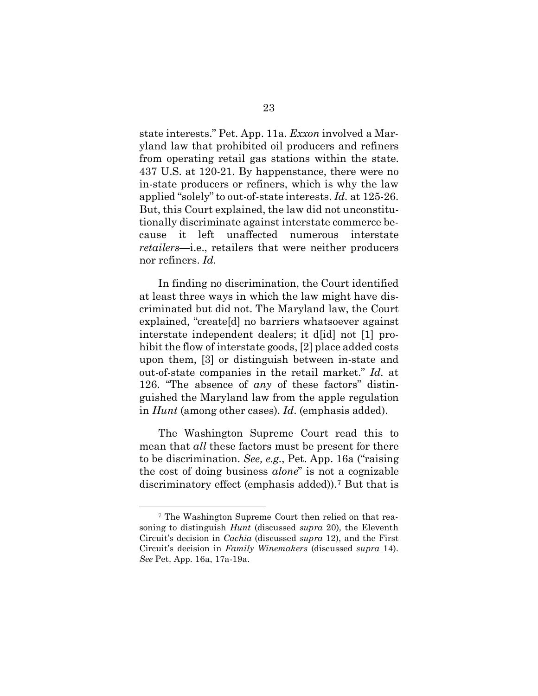<span id="page-34-0"></span>state interests." Pet. App. 11a. *Exxon* involved a Maryland law that prohibited oil producers and refiners from operating retail gas stations within the state. 437 U.S. at 120-21. By happenstance, there were no in-state producers or refiners, which is why the law applied "solely" to out-of-state interests. *Id.* at 125-26. But, this Court explained, the law did not unconstitutionally discriminate against interstate commerce because it left unaffected numerous interstate *retailers*—i.e., retailers that were neither producers nor refiners. *Id.*

In finding no discrimination, the Court identified at least three ways in which the law might have discriminated but did not. The Maryland law, the Court explained, "create[d] no barriers whatsoever against interstate independent dealers; it d[id] not [1] prohibit the flow of interstate goods, [2] place added costs upon them, [3] or distinguish between in-state and out-of-state companies in the retail market." *Id.* at 126. "The absence of *any* of these factors" distinguished the Maryland law from the apple regulation in *Hunt* (among other cases). *Id*. (emphasis added).

The Washington Supreme Court read this to mean that *all* these factors must be present for there to be discrimination. *See, e.g.*, Pet. App. 16a ("raising the cost of doing business *alone*" is not a cognizable discriminatory effect (emphasis added)).[7](#page-34-1) But that is

<span id="page-34-1"></span><sup>7</sup> The Washington Supreme Court then relied on that reasoning to distinguish *Hunt* (discussed *supra* 20), the Eleventh Circuit's decision in *Cachia* (discussed *supra* 12), and the First Circuit's decision in *Family Winemakers* (discussed *supra* 14). *See* Pet. App. 16a, 17a-19a.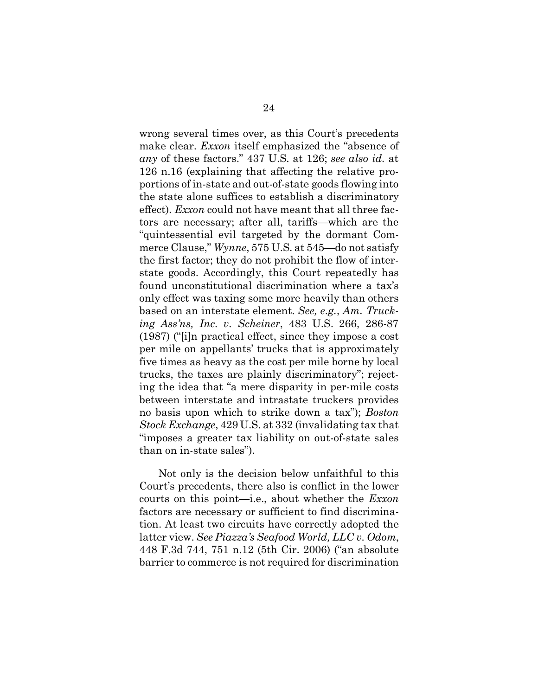<span id="page-35-3"></span><span id="page-35-2"></span>wrong several times over, as this Court's precedents make clear. *Exxon* itself emphasized the "absence of *any* of these factors." 437 U.S. at 126; *see also id.* at 126 n.16 (explaining that affecting the relative proportions of in-state and out-of-state goods flowing into the state alone suffices to establish a discriminatory effect). *Exxon* could not have meant that all three factors are necessary; after all, tariffs—which are the "quintessential evil targeted by the dormant Commerce Clause," *Wynne*, 575 U.S. at 545—do not satisfy the first factor; they do not prohibit the flow of interstate goods. Accordingly, this Court repeatedly has found unconstitutional discrimination where a tax's only effect was taxing some more heavily than others based on an interstate element. *See, e.g.*, *Am. Trucking Ass'ns, Inc. v. Scheiner*, 483 U.S. 266, 286-87 (1987) ("[i]n practical effect, since they impose a cost per mile on appellants' trucks that is approximately five times as heavy as the cost per mile borne by local trucks, the taxes are plainly discriminatory"; rejecting the idea that "a mere disparity in per-mile costs between interstate and intrastate truckers provides no basis upon which to strike down a tax"); *Boston Stock Exchange*, 429 U.S. at 332 (invalidating tax that "imposes a greater tax liability on out-of-state sales than on in-state sales").

<span id="page-35-4"></span><span id="page-35-1"></span><span id="page-35-0"></span>Not only is the decision below unfaithful to this Court's precedents, there also is conflict in the lower courts on this point—i.e., about whether the *Exxon* factors are necessary or sufficient to find discrimination. At least two circuits have correctly adopted the latter view. *See Piazza's Seafood World, LLC v. Odom*, 448 F.3d 744, 751 n.12 (5th Cir. 2006) ("an absolute barrier to commerce is not required for discrimination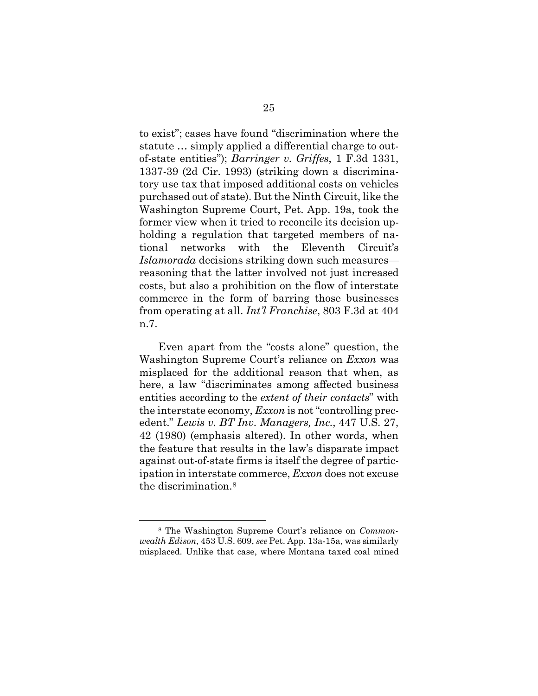<span id="page-36-0"></span>to exist"; cases have found "discrimination where the statute … simply applied a differential charge to outof-state entities"); *Barringer v. Griffes*, 1 F.3d 1331, 1337-39 (2d Cir. 1993) (striking down a discriminatory use tax that imposed additional costs on vehicles purchased out of state). But the Ninth Circuit, like the Washington Supreme Court, Pet. App. 19a, took the former view when it tried to reconcile its decision upholding a regulation that targeted members of national networks with the Eleventh Circuit's *Islamorada* decisions striking down such measures reasoning that the latter involved not just increased costs, but also a prohibition on the flow of interstate commerce in the form of barring those businesses from operating at all. *Int'l Franchise*, 803 F.3d at 404 n.7.

<span id="page-36-3"></span><span id="page-36-2"></span>Even apart from the "costs alone" question, the Washington Supreme Court's reliance on *Exxon* was misplaced for the additional reason that when, as here, a law "discriminates among affected business entities according to the *extent of their contacts*" with the interstate economy, *Exxon* is not "controlling precedent." *Lewis v. BT Inv. Managers, Inc.*, 447 U.S. 27, 42 (1980) (emphasis altered). In other words, when the feature that results in the law's disparate impact against out-of-state firms is itself the degree of participation in interstate commerce, *Exxon* does not excuse the discrimination.[8](#page-36-4)

<span id="page-36-4"></span><span id="page-36-1"></span><sup>8</sup> The Washington Supreme Court's reliance on *Commonwealth Edison*, 453 U.S. 609, *see* Pet. App. 13a-15a, was similarly misplaced. Unlike that case, where Montana taxed coal mined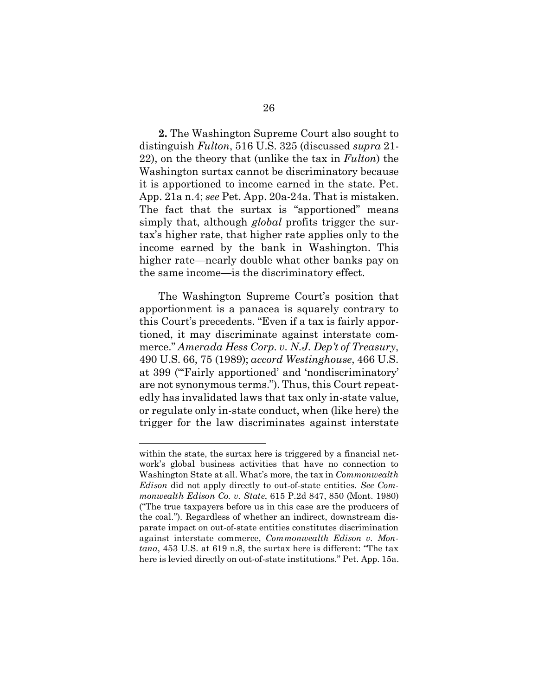<span id="page-37-3"></span>**2.** The Washington Supreme Court also sought to distinguish *Fulton*, 516 U.S. 325 (discussed *supra* 21- 22), on the theory that (unlike the tax in *Fulton*) the Washington surtax cannot be discriminatory because it is apportioned to income earned in the state. Pet. App. 21a n.4; *see* Pet. App. 20a-24a. That is mistaken. The fact that the surtax is "apportioned" means simply that, although *global* profits trigger the surtax's higher rate, that higher rate applies only to the income earned by the bank in Washington. This higher rate—nearly double what other banks pay on the same income—is the discriminatory effect.

<span id="page-37-4"></span><span id="page-37-0"></span>The Washington Supreme Court's position that apportionment is a panacea is squarely contrary to this Court's precedents. "Even if a tax is fairly apportioned, it may discriminate against interstate commerce." *Amerada Hess Corp. v. N.J. Dep't of Treasury*, 490 U.S. 66, 75 (1989); *accord Westinghouse*, 466 U.S. at 399 ("'Fairly apportioned' and 'nondiscriminatory' are not synonymous terms."). Thus, this Court repeatedly has invalidated laws that tax only in-state value, or regulate only in-state conduct, when (like here) the trigger for the law discriminates against interstate

<span id="page-37-2"></span><span id="page-37-1"></span>within the state, the surtax here is triggered by a financial network's global business activities that have no connection to Washington State at all. What's more, the tax in *Commonwealth Edison* did not apply directly to out-of-state entities. *See Commonwealth Edison Co. v. State*, 615 P.2d 847, 850 (Mont. 1980) ("The true taxpayers before us in this case are the producers of the coal."). Regardless of whether an indirect, downstream disparate impact on out-of-state entities constitutes discrimination against interstate commerce, *Commonwealth Edison v. Montana*, 453 U.S. at 619 n.8, the surtax here is different: "The tax here is levied directly on out-of-state institutions." Pet. App. 15a.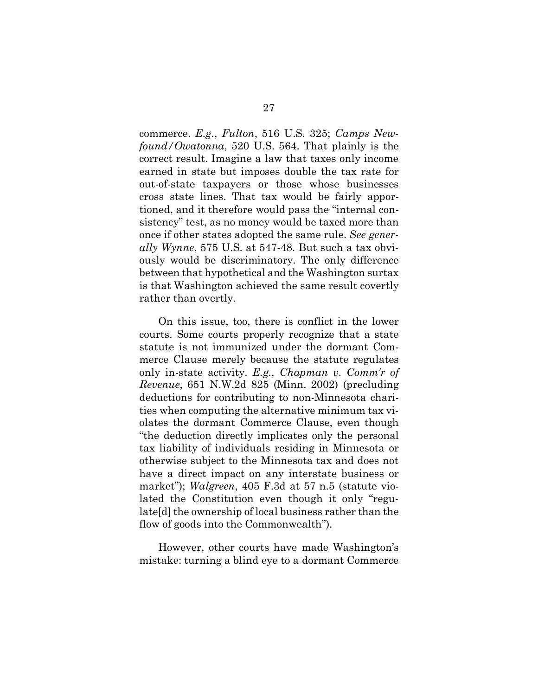<span id="page-38-3"></span><span id="page-38-0"></span>commerce. *E.g.*, *Fulton*, 516 U.S. 325; *Camps Newfound/Owatonna*, 520 U.S. 564. That plainly is the correct result. Imagine a law that taxes only income earned in state but imposes double the tax rate for out-of-state taxpayers or those whose businesses cross state lines. That tax would be fairly apportioned, and it therefore would pass the "internal consistency" test, as no money would be taxed more than once if other states adopted the same rule. *See generally Wynne*, 575 U.S. at 547-48. But such a tax obviously would be discriminatory. The only difference between that hypothetical and the Washington surtax is that Washington achieved the same result covertly rather than overtly.

<span id="page-38-2"></span><span id="page-38-1"></span>On this issue, too, there is conflict in the lower courts. Some courts properly recognize that a state statute is not immunized under the dormant Commerce Clause merely because the statute regulates only in-state activity. *E.g.*, *Chapman v. Comm'r of Revenue*, 651 N.W.2d 825 (Minn. 2002) (precluding deductions for contributing to non-Minnesota charities when computing the alternative minimum tax violates the dormant Commerce Clause, even though "the deduction directly implicates only the personal tax liability of individuals residing in Minnesota or otherwise subject to the Minnesota tax and does not have a direct impact on any interstate business or market"); *Walgreen*, 405 F.3d at 57 n.5 (statute violated the Constitution even though it only "regulate[d] the ownership of local business rather than the flow of goods into the Commonwealth").

<span id="page-38-4"></span>However, other courts have made Washington's mistake: turning a blind eye to a dormant Commerce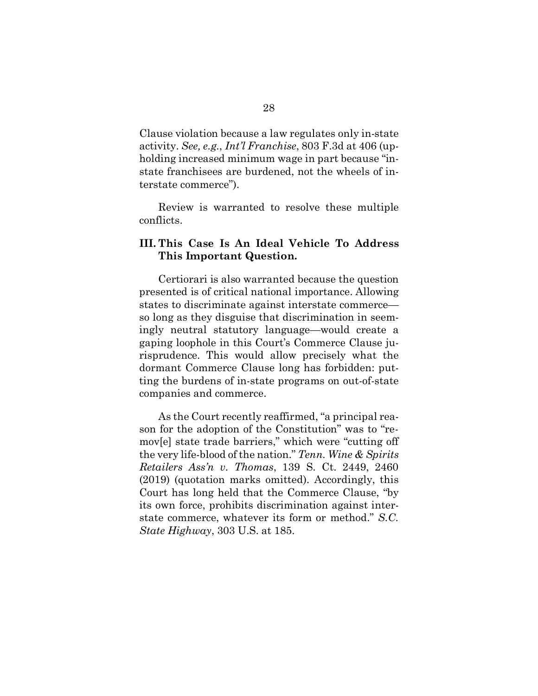<span id="page-39-1"></span>Clause violation because a law regulates only in-state activity. *See, e.g.*, *Int'l Franchise*, 803 F.3d at 406 (upholding increased minimum wage in part because "instate franchisees are burdened, not the wheels of interstate commerce").

Review is warranted to resolve these multiple conflicts.

### <span id="page-39-0"></span>**III. This Case Is An Ideal Vehicle To Address This Important Question.**

Certiorari is also warranted because the question presented is of critical national importance. Allowing states to discriminate against interstate commerce so long as they disguise that discrimination in seemingly neutral statutory language—would create a gaping loophole in this Court's Commerce Clause jurisprudence. This would allow precisely what the dormant Commerce Clause long has forbidden: putting the burdens of in-state programs on out-of-state companies and commerce.

<span id="page-39-3"></span><span id="page-39-2"></span>As the Court recently reaffirmed, "a principal reason for the adoption of the Constitution" was to "remov[e] state trade barriers," which were "cutting off the very life-blood of the nation." *Tenn. Wine & Spirits Retailers Ass'n v. Thomas*, 139 S. Ct. 2449, 2460 (2019) (quotation marks omitted). Accordingly, this Court has long held that the Commerce Clause, "by its own force, prohibits discrimination against interstate commerce, whatever its form or method." *S.C. State Highway*, 303 U.S. at 185.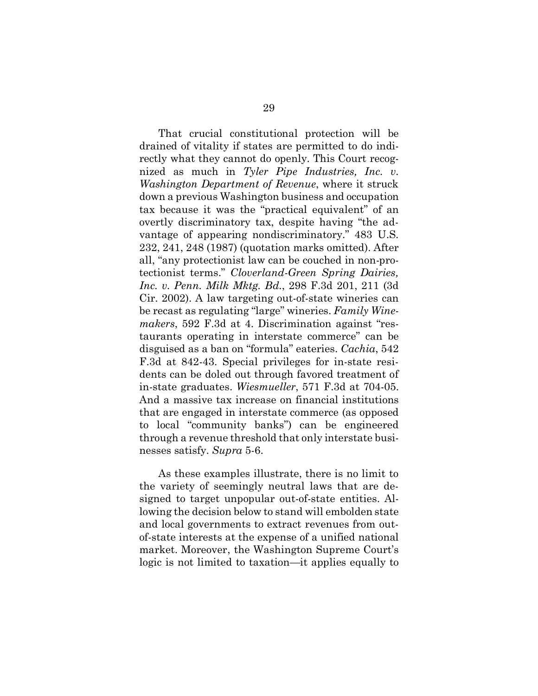<span id="page-40-3"></span><span id="page-40-1"></span>That crucial constitutional protection will be drained of vitality if states are permitted to do indirectly what they cannot do openly. This Court recognized as much in *Tyler Pipe Industries, Inc. v. Washington Department of Revenue*, where it struck down a previous Washington business and occupation tax because it was the "practical equivalent" of an overtly discriminatory tax, despite having "the advantage of appearing nondiscriminatory." 483 U.S. 232, 241, 248 (1987) (quotation marks omitted). After all, "any protectionist law can be couched in non-protectionist terms." *Cloverland-Green Spring Dairies, Inc. v. Penn. Milk Mktg. Bd.*, 298 F.3d 201, 211 (3d Cir. 2002). A law targeting out-of-state wineries can be recast as regulating "large" wineries. *Family Winemakers*, 592 F.3d at 4. Discrimination against "restaurants operating in interstate commerce" can be disguised as a ban on "formula" eateries. *Cachia*, 542 F.3d at 842-43. Special privileges for in-state residents can be doled out through favored treatment of in-state graduates. *Wiesmueller*, 571 F.3d at 704-05. And a massive tax increase on financial institutions that are engaged in interstate commerce (as opposed to local "community banks") can be engineered through a revenue threshold that only interstate businesses satisfy. *Supra* 5-6.

<span id="page-40-4"></span><span id="page-40-2"></span><span id="page-40-0"></span>As these examples illustrate, there is no limit to the variety of seemingly neutral laws that are designed to target unpopular out-of-state entities. Allowing the decision below to stand will embolden state and local governments to extract revenues from outof-state interests at the expense of a unified national market. Moreover, the Washington Supreme Court's logic is not limited to taxation—it applies equally to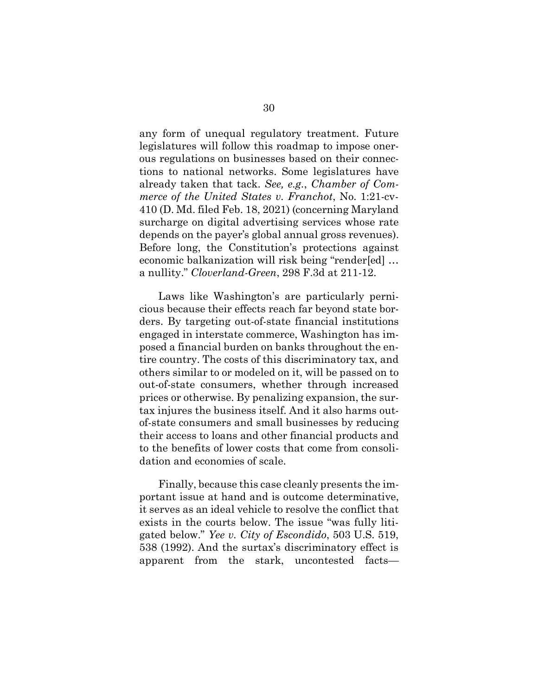<span id="page-41-0"></span>any form of unequal regulatory treatment. Future legislatures will follow this roadmap to impose onerous regulations on businesses based on their connections to national networks. Some legislatures have already taken that tack. *See, e.g*., *Chamber of Commerce of the United States v. Franchot*, No. 1:21-cv-410 (D. Md. filed Feb. 18, 2021) (concerning Maryland surcharge on digital advertising services whose rate depends on the payer's global annual gross revenues). Before long, the Constitution's protections against economic balkanization will risk being "render[ed] … a nullity." *Cloverland-Green*, 298 F.3d at 211-12.

<span id="page-41-1"></span>Laws like Washington's are particularly pernicious because their effects reach far beyond state borders. By targeting out-of-state financial institutions engaged in interstate commerce, Washington has imposed a financial burden on banks throughout the entire country. The costs of this discriminatory tax, and others similar to or modeled on it, will be passed on to out-of-state consumers, whether through increased prices or otherwise. By penalizing expansion, the surtax injures the business itself. And it also harms outof-state consumers and small businesses by reducing their access to loans and other financial products and to the benefits of lower costs that come from consolidation and economies of scale.

<span id="page-41-2"></span>Finally, because this case cleanly presents the important issue at hand and is outcome determinative, it serves as an ideal vehicle to resolve the conflict that exists in the courts below. The issue "was fully litigated below." *Yee v. City of Escondido*, 503 U.S. 519, 538 (1992). And the surtax's discriminatory effect is apparent from the stark, uncontested facts